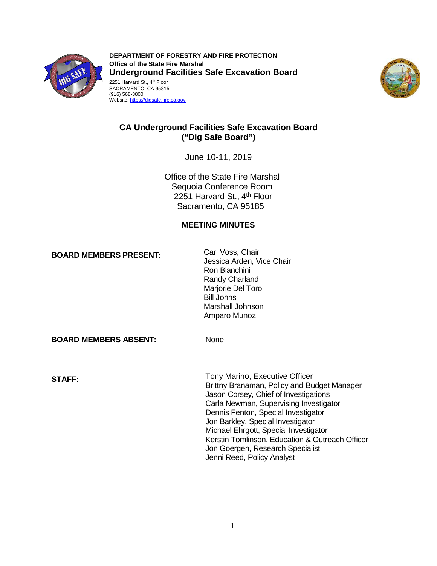

 2251 Harvard St., 4th Floor SACRAMENTO, CA 95815 **DEPARTMENT OF FORESTRY AND FIRE PROTECTION Office of the State Fire Marshal Underground Facilities Safe Excavation Board** 





# **CA Underground Facilities Safe Excavation Board ("Dig Safe Board")**

June 10-11, 2019

2251 Harvard St., 4<sup>th</sup> Floor Office of the State Fire Marshal Sequoia Conference Room Sacramento, CA 95185

## **MEETING MINUTES**

**BOARD MEMBERS PRESENT:** Carl Voss, Chair Canner Carl Voss, Chair Conducts Arden, Vice Chair Ron Bianchini Randy Charland Marjorie Del Toro Bill Johns Marshall Johnson Amparo Munoz

**BOARD MEMBERS ABSENT:** None

Tony Marino, Executive Officer **STAFF:** Brittny Branaman, Policy and Budget Manager Jason Corsey, Chief of Investigations Carla Newman, Supervising Investigator Dennis Fenton, Special Investigator Jon Barkley, Special Investigator Michael Ehrgott, Special Investigator Kerstin Tomlinson, Education & Outreach Officer Jon Goergen, Research Specialist Jenni Reed, Policy Analyst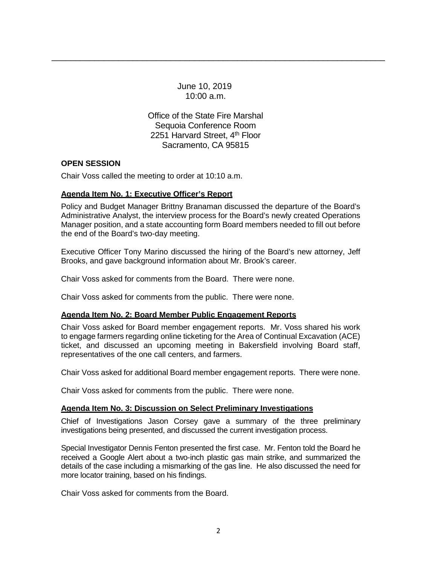June 10, 2019 10:00 a.m.

\_\_\_\_\_\_\_\_\_\_\_\_\_\_\_\_\_\_\_\_\_\_\_\_\_\_\_\_\_\_\_\_\_\_\_\_\_\_\_\_\_\_\_\_\_\_\_\_\_\_\_\_\_\_\_\_\_\_\_\_\_\_\_\_\_\_\_\_\_\_

2251 Harvard Street, 4<sup>th</sup> Floor Office of the State Fire Marshal Sequoia Conference Room Sacramento, CA 95815

### **OPEN SESSION**

Chair Voss called the meeting to order at 10:10 a.m.

### **Agenda Item No. 1: Executive Officer's Report**

 Administrative Analyst, the interview process for the Board's newly created Operations Policy and Budget Manager Brittny Branaman discussed the departure of the Board's Manager position, and a state accounting form Board members needed to fill out before the end of the Board's two-day meeting.

 Executive Officer Tony Marino discussed the hiring of the Board's new attorney, Jeff Brooks, and gave background information about Mr. Brook's career.

Chair Voss asked for comments from the Board. There were none.

Chair Voss asked for comments from the public. There were none.

### **Agenda Item No. 2: Board Member Public Engagement Reports**

 Chair Voss asked for Board member engagement reports. Mr. Voss shared his work to engage farmers regarding online ticketing for the Area of Continual Excavation (ACE) ticket, and discussed an upcoming meeting in Bakersfield involving Board staff, representatives of the one call centers, and farmers.

Chair Voss asked for additional Board member engagement reports. There were none.

Chair Voss asked for comments from the public. There were none.

### **Agenda Item No. 3: Discussion on Select Preliminary Investigations**

 Chief of Investigations Jason Corsey gave a summary of the three preliminary investigations being presented, and discussed the current investigation process.

 Special Investigator Dennis Fenton presented the first case. Mr. Fenton told the Board he received a Google Alert about a two-inch plastic gas main strike, and summarized the details of the case including a mismarking of the gas line. He also discussed the need for more locator training, based on his findings.

Chair Voss asked for comments from the Board.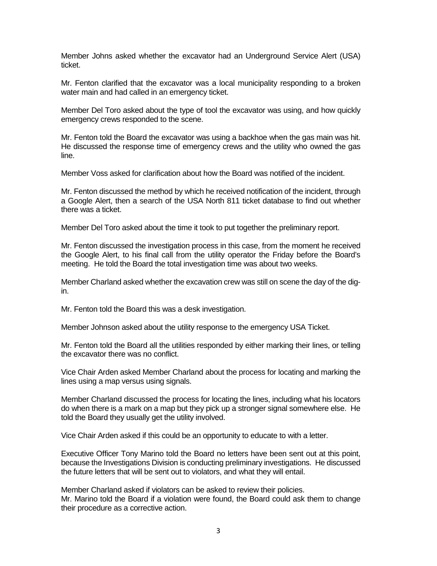Member Johns asked whether the excavator had an Underground Service Alert (USA) ticket.

 Mr. Fenton clarified that the excavator was a local municipality responding to a broken water main and had called in an emergency ticket.

 Member Del Toro asked about the type of tool the excavator was using, and how quickly emergency crews responded to the scene.

Mr. Fenton told the Board the excavator was using a backhoe when the gas main was hit. He discussed the response time of emergency crews and the utility who owned the gas line.

Member Voss asked for clarification about how the Board was notified of the incident.

 a Google Alert, then a search of the USA North 811 ticket database to find out whether Mr. Fenton discussed the method by which he received notification of the incident, through there was a ticket.

Member Del Toro asked about the time it took to put together the preliminary report.

 Mr. Fenton discussed the investigation process in this case, from the moment he received the Google Alert, to his final call from the utility operator the Friday before the Board's meeting. He told the Board the total investigation time was about two weeks.

Member Charland asked whether the excavation crew was still on scene the day of the digin.

Mr. Fenton told the Board this was a desk investigation.

Member Johnson asked about the utility response to the emergency USA Ticket.

Mr. Fenton told the Board all the utilities responded by either marking their lines, or telling the excavator there was no conflict.

Vice Chair Arden asked Member Charland about the process for locating and marking the lines using a map versus using signals.

Member Charland discussed the process for locating the lines, including what his locators do when there is a mark on a map but they pick up a stronger signal somewhere else. He told the Board they usually get the utility involved.

Vice Chair Arden asked if this could be an opportunity to educate to with a letter.

 because the Investigations Division is conducting preliminary investigations. He discussed Executive Officer Tony Marino told the Board no letters have been sent out at this point, the future letters that will be sent out to violators, and what they will entail.

Member Charland asked if violators can be asked to review their policies. Mr. Marino told the Board if a violation were found, the Board could ask them to change their procedure as a corrective action.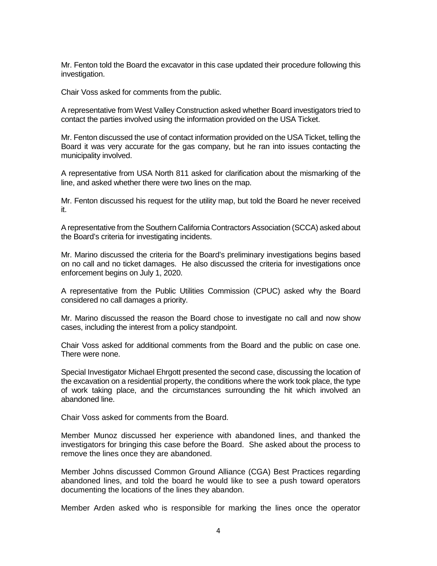Mr. Fenton told the Board the excavator in this case updated their procedure following this investigation.

Chair Voss asked for comments from the public.

A representative from West Valley Construction asked whether Board investigators tried to contact the parties involved using the information provided on the USA Ticket.

 Board it was very accurate for the gas company, but he ran into issues contacting the Mr. Fenton discussed the use of contact information provided on the USA Ticket, telling the municipality involved.

A representative from USA North 811 asked for clarification about the mismarking of the line, and asked whether there were two lines on the map.

 Mr. Fenton discussed his request for the utility map, but told the Board he never received it.

A representative from the Southern California Contractors Association (SCCA) asked about the Board's criteria for investigating incidents.

Mr. Marino discussed the criteria for the Board's preliminary investigations begins based on no call and no ticket damages. He also discussed the criteria for investigations once enforcement begins on July 1, 2020.

 A representative from the Public Utilities Commission (CPUC) asked why the Board considered no call damages a priority.

 Mr. Marino discussed the reason the Board chose to investigate no call and now show cases, including the interest from a policy standpoint.

Chair Voss asked for additional comments from the Board and the public on case one.<br>There were none.

 Special Investigator Michael Ehrgott presented the second case, discussing the location of the excavation on a residential property, the conditions where the work took place, the type of work taking place, and the circumstances surrounding the hit which involved an abandoned line.

Chair Voss asked for comments from the Board.

Member Munoz discussed her experience with abandoned lines, and thanked the investigators for bringing this case before the Board. She asked about the process to remove the lines once they are abandoned.

Member Johns discussed Common Ground Alliance (CGA) Best Practices regarding abandoned lines, and told the board he would like to see a push toward operators documenting the locations of the lines they abandon.

Member Arden asked who is responsible for marking the lines once the operator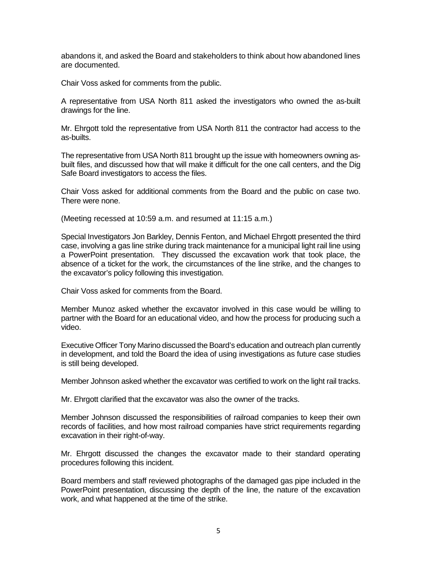abandons it, and asked the Board and stakeholders to think about how abandoned lines are documented.

Chair Voss asked for comments from the public.

A representative from USA North 811 asked the investigators who owned the as-built drawings for the line.

Mr. Ehrgott told the representative from USA North 811 the contractor had access to the as-builts.

The representative from USA North 811 brought up the issue with homeowners owning asbuilt files, and discussed how that will make it difficult for the one call centers, and the Dig Safe Board investigators to access the files.

 Chair Voss asked for additional comments from the Board and the public on case two. There were none.

(Meeting recessed at 10:59 a.m. and resumed at 11:15 a.m.)

 a PowerPoint presentation. They discussed the excavation work that took place, the Special Investigators Jon Barkley, Dennis Fenton, and Michael Ehrgott presented the third case, involving a gas line strike during track maintenance for a municipal light rail line using absence of a ticket for the work, the circumstances of the line strike, and the changes to the excavator's policy following this investigation.

Chair Voss asked for comments from the Board.

 partner with the Board for an educational video, and how the process for producing such a Member Munoz asked whether the excavator involved in this case would be willing to video.

Executive Officer Tony Marino discussed the Board's education and outreach plan currently in development, and told the Board the idea of using investigations as future case studies is still being developed.

Member Johnson asked whether the excavator was certified to work on the light rail tracks.

Mr. Ehrgott clarified that the excavator was also the owner of the tracks.

 records of facilities, and how most railroad companies have strict requirements regarding Member Johnson discussed the responsibilities of railroad companies to keep their own excavation in their right-of-way.

 Mr. Ehrgott discussed the changes the excavator made to their standard operating procedures following this incident.

Board members and staff reviewed photographs of the damaged gas pipe included in the PowerPoint presentation, discussing the depth of the line, the nature of the excavation work, and what happened at the time of the strike.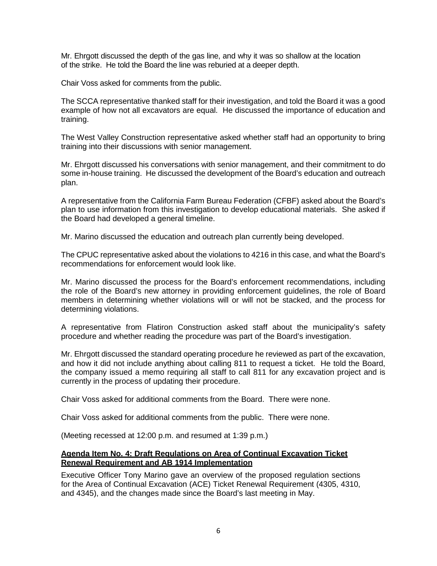Mr. Ehrgott discussed the depth of the gas line, and why it was so shallow at the location of the strike. He told the Board the line was reburied at a deeper depth.

Chair Voss asked for comments from the public.

 example of how not all excavators are equal. He discussed the importance of education and The SCCA representative thanked staff for their investigation, and told the Board it was a good training.

 The West Valley Construction representative asked whether staff had an opportunity to bring training into their discussions with senior management.

 Mr. Ehrgott discussed his conversations with senior management, and their commitment to do some in-house training. He discussed the development of the Board's education and outreach plan.

 plan to use information from this investigation to develop educational materials. She asked if A representative from the California Farm Bureau Federation (CFBF) asked about the Board's the Board had developed a general timeline.

Mr. Marino discussed the education and outreach plan currently being developed.

 recommendations for enforcement would look like. The CPUC representative asked about the violations to 4216 in this case, and what the Board's

 Mr. Marino discussed the process for the Board's enforcement recommendations, including the role of the Board's new attorney in providing enforcement guidelines, the role of Board members in determining whether violations will or will not be stacked, and the process for determining violations.

 A representative from Flatiron Construction asked staff about the municipality's safety procedure and whether reading the procedure was part of the Board's investigation.

 and how it did not include anything about calling 811 to request a ticket. He told the Board, Mr. Ehrgott discussed the standard operating procedure he reviewed as part of the excavation, the company issued a memo requiring all staff to call 811 for any excavation project and is currently in the process of updating their procedure.

Chair Voss asked for additional comments from the Board. There were none.

Chair Voss asked for additional comments from the public. There were none.

(Meeting recessed at 12:00 p.m. and resumed at 1:39 p.m.)

#### **Agenda Item No. 4: Draft Regulations on Area of Continual Excavation Ticket Renewal Requirement and AB 1914 Implementation**

 for the Area of Continual Excavation (ACE) Ticket Renewal Requirement (4305, 4310, Executive Officer Tony Marino gave an overview of the proposed regulation sections and 4345), and the changes made since the Board's last meeting in May.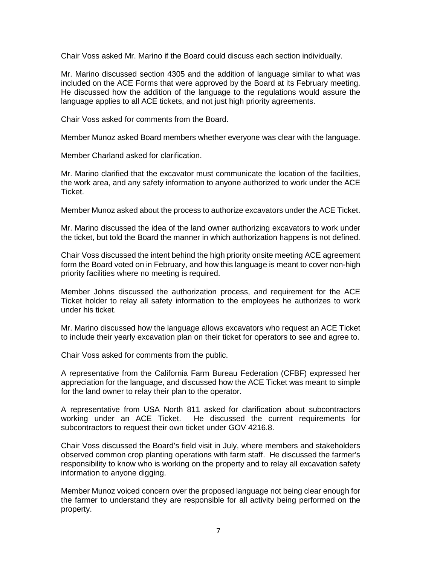Chair Voss asked Mr. Marino if the Board could discuss each section individually.

 Mr. Marino discussed section 4305 and the addition of language similar to what was included on the ACE Forms that were approved by the Board at its February meeting. He discussed how the addition of the language to the regulations would assure the language applies to all ACE tickets, and not just high priority agreements.

Chair Voss asked for comments from the Board.

Member Munoz asked Board members whether everyone was clear with the language.

Member Charland asked for clarification.

 the work area, and any safety information to anyone authorized to work under the ACE Mr. Marino clarified that the excavator must communicate the location of the facilities, Ticket.

Member Munoz asked about the process to authorize excavators under the ACE Ticket.

 Mr. Marino discussed the idea of the land owner authorizing excavators to work under the ticket, but told the Board the manner in which authorization happens is not defined.

 form the Board voted on in February, and how this language is meant to cover non-high Chair Voss discussed the intent behind the high priority onsite meeting ACE agreement priority facilities where no meeting is required.

 Member Johns discussed the authorization process, and requirement for the ACE Ticket holder to relay all safety information to the employees he authorizes to work under his ticket.

 to include their yearly excavation plan on their ticket for operators to see and agree to. Mr. Marino discussed how the language allows excavators who request an ACE Ticket

Chair Voss asked for comments from the public.

 A representative from the California Farm Bureau Federation (CFBF) expressed her appreciation for the language, and discussed how the ACE Ticket was meant to simple for the land owner to relay their plan to the operator.

 working under an ACE Ticket. He discussed the current requirements for subcontractors to request their own ticket under GOV 4216.8. A representative from USA North 811 asked for clarification about subcontractors

Chair Voss discussed the Board's field visit in July, where members and stakeholders observed common crop planting operations with farm staff. He discussed the farmer's responsibility to know who is working on the property and to relay all excavation safety information to anyone digging.

 Member Munoz voiced concern over the proposed language not being clear enough for the farmer to understand they are responsible for all activity being performed on the property.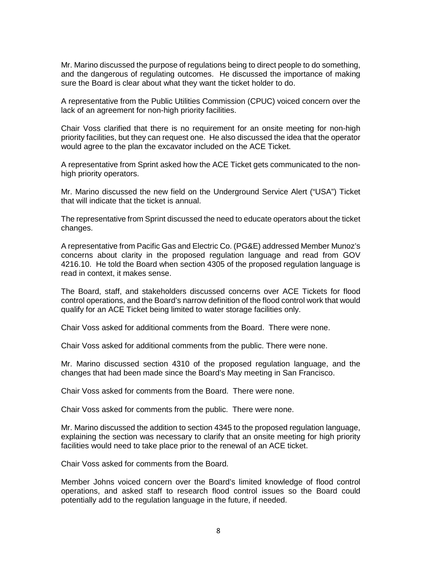and the dangerous of regulating outcomes. He discussed the importance of making sure the Board is clear about what they want the ticket holder to do. Mr. Marino discussed the purpose of regulations being to direct people to do something,

 lack of an agreement for non-high priority facilities. A representative from the Public Utilities Commission (CPUC) voiced concern over the

Chair Voss clarified that there is no requirement for an onsite meeting for non-high priority facilities, but they can request one. He also discussed the idea that the operator would agree to the plan the excavator included on the ACE Ticket.

 A representative from Sprint asked how the ACE Ticket gets communicated to the nonhigh priority operators.

Mr. Marino discussed the new field on the Underground Service Alert ("USA") Ticket that will indicate that the ticket is annual.

 The representative from Sprint discussed the need to educate operators about the ticket changes.

 A representative from Pacific Gas and Electric Co. (PG&E) addressed Member Munoz's read in context, it makes sense. concerns about clarity in the proposed regulation language and read from GOV 4216.10. He told the Board when section 4305 of the proposed regulation language is

 The Board, staff, and stakeholders discussed concerns over ACE Tickets for flood qualify for an ACE Ticket being limited to water storage facilities only. control operations, and the Board's narrow definition of the flood control work that would

Chair Voss asked for additional comments from the Board. There were none.

Chair Voss asked for additional comments from the public. There were none.

Mr. Marino discussed section 4310 of the proposed regulation language, and the changes that had been made since the Board's May meeting in San Francisco.

Chair Voss asked for comments from the Board. There were none.

Chair Voss asked for comments from the public. There were none.

Mr. Marino discussed the addition to section 4345 to the proposed regulation language, explaining the section was necessary to clarify that an onsite meeting for high priority facilities would need to take place prior to the renewal of an ACE ticket.

Chair Voss asked for comments from the Board.

 Member Johns voiced concern over the Board's limited knowledge of flood control operations, and asked staff to research flood control issues so the Board could potentially add to the regulation language in the future, if needed.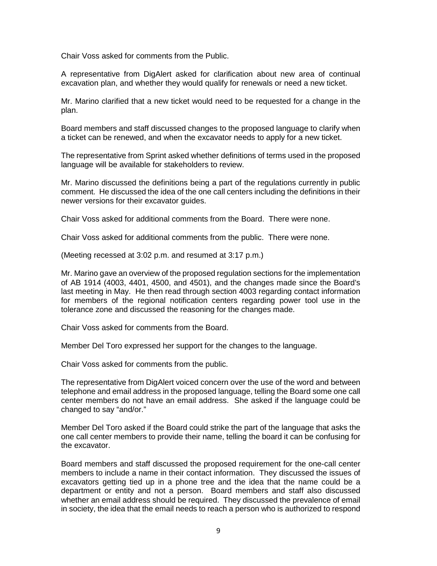Chair Voss asked for comments from the Public.

A representative from DigAlert asked for clarification about new area of continual excavation plan, and whether they would qualify for renewals or need a new ticket.

Mr. Marino clarified that a new ticket would need to be requested for a change in the plan.

Board members and staff discussed changes to the proposed language to clarify when a ticket can be renewed, and when the excavator needs to apply for a new ticket.

The representative from Sprint asked whether definitions of terms used in the proposed language will be available for stakeholders to review.

 comment. He discussed the idea of the one call centers including the definitions in their newer versions for their excavator guides. Mr. Marino discussed the definitions being a part of the regulations currently in public

Chair Voss asked for additional comments from the Board. There were none.

Chair Voss asked for additional comments from the public. There were none.

(Meeting recessed at 3:02 p.m. and resumed at 3:17 p.m.)

 for members of the regional notification centers regarding power tool use in the Mr. Marino gave an overview of the proposed regulation sections for the implementation of AB 1914 (4003, 4401, 4500, and 4501), and the changes made since the Board's last meeting in May. He then read through section 4003 regarding contact information tolerance zone and discussed the reasoning for the changes made.

Chair Voss asked for comments from the Board.

Member Del Toro expressed her support for the changes to the language.

Chair Voss asked for comments from the public.

The representative from DigAlert voiced concern over the use of the word and between telephone and email address in the proposed language, telling the Board some one call center members do not have an email address. She asked if the language could be changed to say "and/or."

 Member Del Toro asked if the Board could strike the part of the language that asks the one call center members to provide their name, telling the board it can be confusing for the excavator.

 members to include a name in their contact information. They discussed the issues of excavators getting tied up in a phone tree and the idea that the name could be a whether an email address should be required. They discussed the prevalence of email in society, the idea that the email needs to reach a person who is authorized to respond Board members and staff discussed the proposed requirement for the one-call center department or entity and not a person. Board members and staff also discussed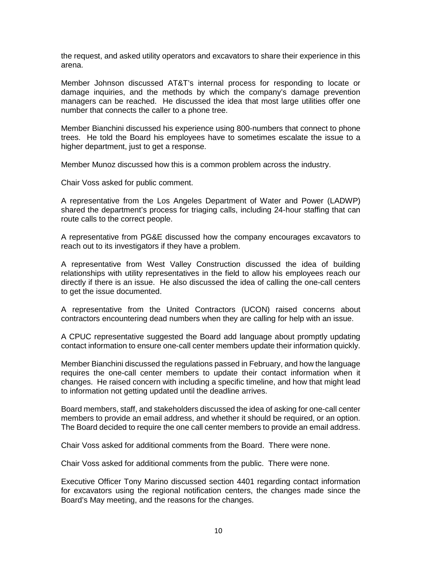the request, and asked utility operators and excavators to share their experience in this arena.

 managers can be reached. He discussed the idea that most large utilities offer one Member Johnson discussed AT&T's internal process for responding to locate or damage inquiries, and the methods by which the company's damage prevention number that connects the caller to a phone tree.

 trees. He told the Board his employees have to sometimes escalate the issue to a higher department, just to get a response. Member Bianchini discussed his experience using 800-numbers that connect to phone

Member Munoz discussed how this is a common problem across the industry.

Chair Voss asked for public comment.

 A representative from the Los Angeles Department of Water and Power (LADWP) shared the department's process for triaging calls, including 24-hour staffing that can route calls to the correct people.

 A representative from PG&E discussed how the company encourages excavators to reach out to its investigators if they have a problem.

 relationships with utility representatives in the field to allow his employees reach our A representative from West Valley Construction discussed the idea of building directly if there is an issue. He also discussed the idea of calling the one-call centers to get the issue documented.

 A representative from the United Contractors (UCON) raised concerns about contractors encountering dead numbers when they are calling for help with an issue.

A CPUC representative suggested the Board add language about promptly updating contact information to ensure one-call center members update their information quickly.

 Member Bianchini discussed the regulations passed in February, and how the language changes. He raised concern with including a specific timeline, and how that might lead to information not getting updated until the deadline arrives. requires the one-call center members to update their contact information when it

to information not getting updated until the deadline arrives.<br>Board members, staff, and stakeholders discussed the idea of asking for one-call center members to provide an email address, and whether it should be required, or an option. members to provide an email address, and whether it should be required, or an option.<br>The Board decided to require the one call center members to provide an email address.

Chair Voss asked for additional comments from the Board. There were none.

Chair Voss asked for additional comments from the public. There were none.

 Executive Officer Tony Marino discussed section 4401 regarding contact information for excavators using the regional notification centers, the changes made since the Board's May meeting, and the reasons for the changes.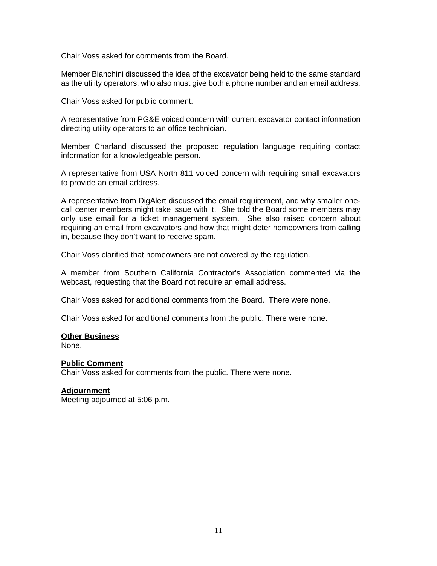Chair Voss asked for comments from the Board.

Member Bianchini discussed the idea of the excavator being held to the same standard as the utility operators, who also must give both a phone number and an email address.

Chair Voss asked for public comment.

A representative from PG&E voiced concern with current excavator contact information directing utility operators to an office technician.

 Member Charland discussed the proposed regulation language requiring contact information for a knowledgeable person.

A representative from USA North 811 voiced concern with requiring small excavators to provide an email address.

 call center members might take issue with it. She told the Board some members may requiring an email from excavators and how that might deter homeowners from calling A representative from DigAlert discussed the email requirement, and why smaller oneonly use email for a ticket management system. She also raised concern about in, because they don't want to receive spam.

Chair Voss clarified that homeowners are not covered by the regulation.

 webcast, requesting that the Board not require an email address. A member from Southern California Contractor's Association commented via the

Chair Voss asked for additional comments from the Board. There were none.

Chair Voss asked for additional comments from the public. There were none.

#### **Other Business**

None.

### **Public Comment**

Chair Voss asked for comments from the public. There were none.

#### **Adjournment**

Meeting adjourned at 5:06 p.m.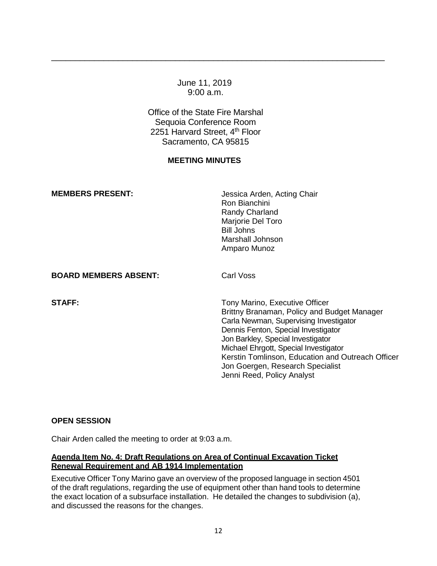### June 11, 2019 9:00 a.m.

\_\_\_\_\_\_\_\_\_\_\_\_\_\_\_\_\_\_\_\_\_\_\_\_\_\_\_\_\_\_\_\_\_\_\_\_\_\_\_\_\_\_\_\_\_\_\_\_\_\_\_\_\_\_\_\_\_\_\_\_\_\_\_\_\_\_\_\_\_\_

2251 Harvard Street, 4<sup>th</sup> Floor Office of the State Fire Marshal Sequoia Conference Room Sacramento, CA 95815

## **MEETING MINUTES**

| <b>MEMBERS PRESENT:</b>      | Jessica Arden, Acting Chair<br>Ron Bianchini<br>Randy Charland<br>Marjorie Del Toro<br><b>Bill Johns</b><br>Marshall Johnson<br>Amparo Munoz                                                                                                                                                                                                                        |
|------------------------------|---------------------------------------------------------------------------------------------------------------------------------------------------------------------------------------------------------------------------------------------------------------------------------------------------------------------------------------------------------------------|
| <b>BOARD MEMBERS ABSENT:</b> | Carl Voss                                                                                                                                                                                                                                                                                                                                                           |
| <b>STAFF:</b>                | Tony Marino, Executive Officer<br>Brittny Branaman, Policy and Budget Manager<br>Carla Newman, Supervising Investigator<br>Dennis Fenton, Special Investigator<br>Jon Barkley, Special Investigator<br>Michael Ehrgott, Special Investigator<br>Kerstin Tomlinson, Education and Outreach Officer<br>Jon Goergen, Research Specialist<br>Jenni Reed, Policy Analyst |

### **OPEN SESSION**

Chair Arden called the meeting to order at 9:03 a.m.

### **Agenda Item No. 4: Draft Regulations on Area of Continual Excavation Ticket Renewal Requirement and AB 1914 Implementation**

 and discussed the reasons for the changes. Executive Officer Tony Marino gave an overview of the proposed language in section 4501 of the draft regulations, regarding the use of equipment other than hand tools to determine the exact location of a subsurface installation. He detailed the changes to subdivision (a),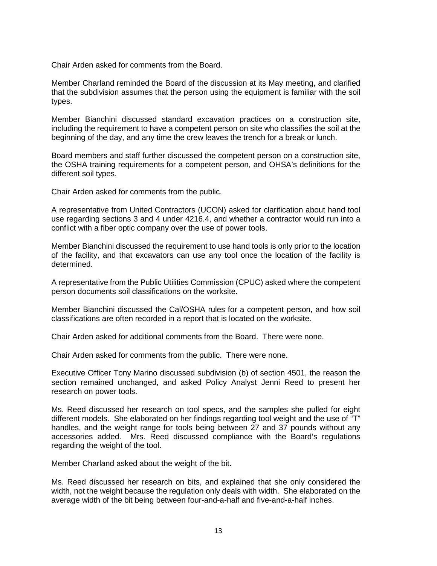Chair Arden asked for comments from the Board.

 Member Charland reminded the Board of the discussion at its May meeting, and clarified that the subdivision assumes that the person using the equipment is familiar with the soil types.

 Member Bianchini discussed standard excavation practices on a construction site, beginning of the day, and any time the crew leaves the trench for a break or lunch. including the requirement to have a competent person on site who classifies the soil at the

 Board members and staff further discussed the competent person on a construction site, the OSHA training requirements for a competent person, and OHSA's definitions for the different soil types.

Chair Arden asked for comments from the public.

 A representative from United Contractors (UCON) asked for clarification about hand tool use regarding sections 3 and 4 under 4216.4, and whether a contractor would run into a conflict with a fiber optic company over the use of power tools.

Member Bianchini discussed the requirement to use hand tools is only prior to the location of the facility, and that excavators can use any tool once the location of the facility is determined.

A representative from the Public Utilities Commission (CPUC) asked where the competent person documents soil classifications on the worksite.

 classifications are often recorded in a report that is located on the worksite. Member Bianchini discussed the Cal/OSHA rules for a competent person, and how soil

Chair Arden asked for additional comments from the Board. There were none.

Chair Arden asked for comments from the public. There were none.

 Executive Officer Tony Marino discussed subdivision (b) of section 4501, the reason the research on power tools. section remained unchanged, and asked Policy Analyst Jenni Reed to present her

 different models. She elaborated on her findings regarding tool weight and the use of "T" Ms. Reed discussed her research on tool specs, and the samples she pulled for eight handles, and the weight range for tools being between 27 and 37 pounds without any accessories added. Mrs. Reed discussed compliance with the Board's regulations regarding the weight of the tool.

Member Charland asked about the weight of the bit.

Ms. Reed discussed her research on bits, and explained that she only considered the width, not the weight because the regulation only deals with width. She elaborated on the average width of the bit being between four-and-a-half and five-and-a-half inches.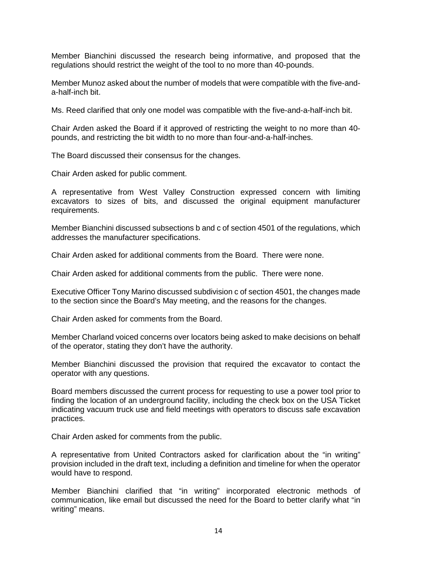Member Bianchini discussed the research being informative, and proposed that the regulations should restrict the weight of the tool to no more than 40-pounds.

 a-half-inch bit. Member Munoz asked about the number of models that were compatible with the five-and-

Ms. Reed clarified that only one model was compatible with the five-and-a-half-inch bit.

 Chair Arden asked the Board if it approved of restricting the weight to no more than 40 pounds, and restricting the bit width to no more than four-and-a-half-inches.

The Board discussed their consensus for the changes.

Chair Arden asked for public comment.

A representative from West Valley Construction expressed concern with limiting excavators to sizes of bits, and discussed the original equipment manufacturer requirements.

Member Bianchini discussed subsections b and c of section 4501 of the regulations, which addresses the manufacturer specifications.

Chair Arden asked for additional comments from the Board. There were none.

Chair Arden asked for additional comments from the public. There were none.

Executive Officer Tony Marino discussed subdivision c of section 4501, the changes made to the section since the Board's May meeting, and the reasons for the changes.

Chair Arden asked for comments from the Board.

Member Charland voiced concerns over locators being asked to make decisions on behalf of the operator, stating they don't have the authority.

 Member Bianchini discussed the provision that required the excavator to contact the operator with any questions.

 Board members discussed the current process for requesting to use a power tool prior to finding the location of an underground facility, including the check box on the USA Ticket indicating vacuum truck use and field meetings with operators to discuss safe excavation practices.

Chair Arden asked for comments from the public.

A representative from United Contractors asked for clarification about the "in writing" provision included in the draft text, including a definition and timeline for when the operator would have to respond.

Member Bianchini clarified that "in writing" incorporated electronic methods of communication, like email but discussed the need for the Board to better clarify what "in writing" means.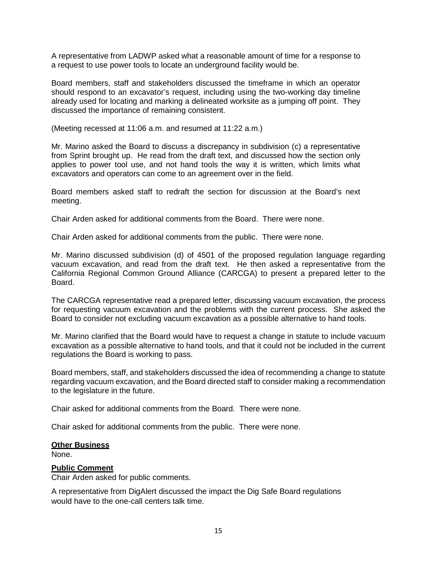A representative from LADWP asked what a reasonable amount of time for a response to a request to use power tools to locate an underground facility would be.

 should respond to an excavator's request, including using the two-working day timeline already used for locating and marking a delineated worksite as a jumping off point. They Board members, staff and stakeholders discussed the timeframe in which an operator discussed the importance of remaining consistent.

(Meeting recessed at 11:06 a.m. and resumed at 11:22 a.m.)

 from Sprint brought up. He read from the draft text, and discussed how the section only applies to power tool use, and not hand tools the way it is written, which limits what Mr. Marino asked the Board to discuss a discrepancy in subdivision (c) a representative excavators and operators can come to an agreement over in the field.

 Board members asked staff to redraft the section for discussion at the Board's next meeting.

Chair Arden asked for additional comments from the Board. There were none.

Chair Arden asked for additional comments from the public. There were none.

 Mr. Marino discussed subdivision (d) of 4501 of the proposed regulation language regarding vacuum excavation, and read from the draft text. He then asked a representative from the California Regional Common Ground Alliance (CARCGA) to present a prepared letter to the Board.

 for requesting vacuum excavation and the problems with the current process. She asked the The CARCGA representative read a prepared letter, discussing vacuum excavation, the process Board to consider not excluding vacuum excavation as a possible alternative to hand tools.

 Mr. Marino clarified that the Board would have to request a change in statute to include vacuum excavation as a possible alternative to hand tools, and that it could not be included in the current regulations the Board is working to pass.

Board members, staff, and stakeholders discussed the idea of recommending a change to statute regarding vacuum excavation, and the Board directed staff to consider making a recommendation to the legislature in the future.

Chair asked for additional comments from the Board. There were none.

Chair asked for additional comments from the public. There were none.

#### **Other Business**

None.

### **Public Comment**

Chair Arden asked for public comments.

A representative from DigAlert discussed the impact the Dig Safe Board regulations would have to the one-call centers talk time.